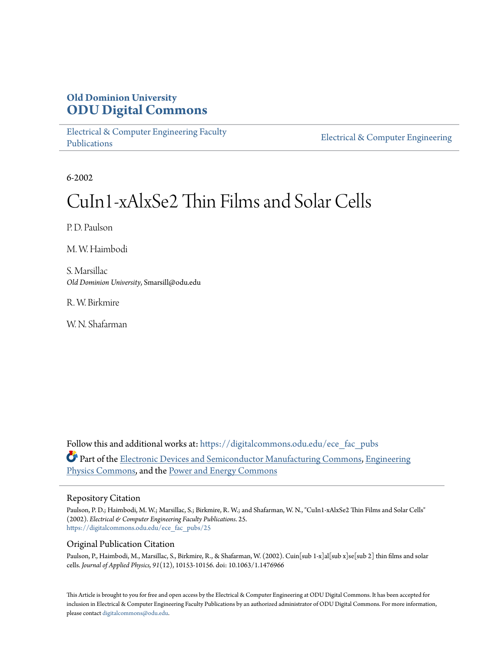# **Old Dominion University [ODU Digital Commons](https://digitalcommons.odu.edu?utm_source=digitalcommons.odu.edu%2Fece_fac_pubs%2F25&utm_medium=PDF&utm_campaign=PDFCoverPages)**

[Electrical & Computer Engineering Faculty](https://digitalcommons.odu.edu/ece_fac_pubs?utm_source=digitalcommons.odu.edu%2Fece_fac_pubs%2F25&utm_medium=PDF&utm_campaign=PDFCoverPages) [Publications](https://digitalcommons.odu.edu/ece_fac_pubs?utm_source=digitalcommons.odu.edu%2Fece_fac_pubs%2F25&utm_medium=PDF&utm_campaign=PDFCoverPages)

[Electrical & Computer Engineering](https://digitalcommons.odu.edu/ece?utm_source=digitalcommons.odu.edu%2Fece_fac_pubs%2F25&utm_medium=PDF&utm_campaign=PDFCoverPages)

6-2002

# CuIn1-xAlxSe2 Thin Films and Solar Cells

P. D. Paulson

M. W. Haimbodi

S. Marsillac *Old Dominion University*, Smarsill@odu.edu

R. W. Birkmire

W. N. Shafarman

Follow this and additional works at: [https://digitalcommons.odu.edu/ece\\_fac\\_pubs](https://digitalcommons.odu.edu/ece_fac_pubs?utm_source=digitalcommons.odu.edu%2Fece_fac_pubs%2F25&utm_medium=PDF&utm_campaign=PDFCoverPages) Part of the [Electronic Devices and Semiconductor Manufacturing Commons](http://network.bepress.com/hgg/discipline/272?utm_source=digitalcommons.odu.edu%2Fece_fac_pubs%2F25&utm_medium=PDF&utm_campaign=PDFCoverPages), [Engineering](http://network.bepress.com/hgg/discipline/200?utm_source=digitalcommons.odu.edu%2Fece_fac_pubs%2F25&utm_medium=PDF&utm_campaign=PDFCoverPages) [Physics Commons,](http://network.bepress.com/hgg/discipline/200?utm_source=digitalcommons.odu.edu%2Fece_fac_pubs%2F25&utm_medium=PDF&utm_campaign=PDFCoverPages) and the [Power and Energy Commons](http://network.bepress.com/hgg/discipline/274?utm_source=digitalcommons.odu.edu%2Fece_fac_pubs%2F25&utm_medium=PDF&utm_campaign=PDFCoverPages)

## Repository Citation

Paulson, P. D.; Haimbodi, M. W.; Marsillac, S.; Birkmire, R. W.; and Shafarman, W. N., "CuIn1-xAlxSe2 Thin Films and Solar Cells" (2002). *Electrical & Computer Engineering Faculty Publications*. 25. [https://digitalcommons.odu.edu/ece\\_fac\\_pubs/25](https://digitalcommons.odu.edu/ece_fac_pubs/25?utm_source=digitalcommons.odu.edu%2Fece_fac_pubs%2F25&utm_medium=PDF&utm_campaign=PDFCoverPages)

# Original Publication Citation

Paulson, P., Haimbodi, M., Marsillac, S., Birkmire, R., & Shafarman, W. (2002). Cuin[sub 1-x]al[sub x]se[sub 2] thin films and solar cells. *Journal of Applied Physics, 91*(12), 10153-10156. doi: 10.1063/1.1476966

This Article is brought to you for free and open access by the Electrical & Computer Engineering at ODU Digital Commons. It has been accepted for inclusion in Electrical & Computer Engineering Faculty Publications by an authorized administrator of ODU Digital Commons. For more information, please contact [digitalcommons@odu.edu](mailto:digitalcommons@odu.edu).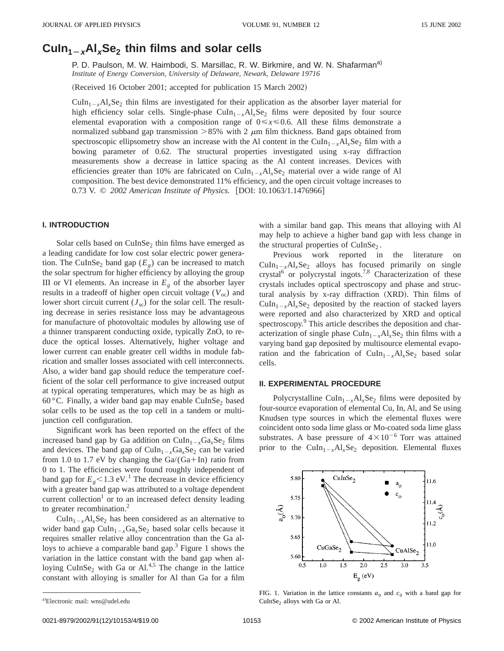# $Culn<sub>1-x</sub>Al<sub>x</sub>Se<sub>2</sub>$  thin films and solar cells

P. D. Paulson, M. W. Haimbodi, S. Marsillac, R. W. Birkmire, and W. N. Shafarman<sup>a)</sup> *Institute of Energy Conversion, University of Delaware, Newark, Delaware 19716*

(Received 16 October 2001; accepted for publication 15 March 2002)

 $Culn<sub>1-x</sub>Al<sub>x</sub>Se<sub>2</sub>$  thin films are investigated for their application as the absorber layer material for high efficiency solar cells. Single-phase  $\text{CuIn}_{1-x} \text{Al}_x \text{Se}_2$  films were deposited by four source elemental evaporation with a composition range of  $0 \le x \le 0.6$ . All these films demonstrate a normalized subband gap transmission  $>85\%$  with 2  $\mu$ m film thickness. Band gaps obtained from spectroscopic ellipsometry show an increase with the Al content in the CuIn<sub>1 $\rightarrow$ </sub> $\text{Al}_x\text{Se}_2$  film with a bowing parameter of 0.62. The structural properties investigated using x-ray diffraction measurements show a decrease in lattice spacing as the Al content increases. Devices with efficiencies greater than 10% are fabricated on CuIn<sub>1<sub>-x</sub>Al<sub>x</sub>Se<sub>2</sub> material over a wide range of Al</sub> composition. The best device demonstrated 11% efficiency, and the open circuit voltage increases to 0.73 V. © 2002 American Institute of Physics. [DOI: 10.1063/1.1476966]

#### **I. INTRODUCTION**

Solar cells based on  $CuInSe<sub>2</sub>$  thin films have emerged as a leading candidate for low cost solar electric power generation. The CuInSe<sub>2</sub> band gap  $(E_g)$  can be increased to match the solar spectrum for higher efficiency by alloying the group III or VI elements. An increase in  $E<sub>g</sub>$  of the absorber layer results in a tradeoff of higher open circuit voltage  $(V<sub>oc</sub>)$  and lower short circuit current  $(J_{\rm sc})$  for the solar cell. The resulting decrease in series resistance loss may be advantageous for manufacture of photovoltaic modules by allowing use of a thinner transparent conducting oxide, typically ZnO, to reduce the optical losses. Alternatively, higher voltage and lower current can enable greater cell widths in module fabrication and smaller losses associated with cell interconnects. Also, a wider band gap should reduce the temperature coefficient of the solar cell performance to give increased output at typical operating temperatures, which may be as high as 60 °C. Finally, a wider band gap may enable CuInSe<sub>2</sub> based solar cells to be used as the top cell in a tandem or multijunction cell configuration.

Significant work has been reported on the effect of the increased band gap by Ga addition on  $CuIn_{1-x}Ga_{x}Se_{2}$  films and devices. The band gap of  $CuIn<sub>1-x</sub>Ga<sub>x</sub>Se<sub>2</sub>$  can be varied from 1.0 to 1.7 eV by changing the  $Ga/(Ga+In)$  ratio from 0 to 1. The efficiencies were found roughly independent of band gap for  $E_{g}$  < 1.3 eV.<sup>1</sup> The decrease in device efficiency with a greater band gap was attributed to a voltage dependent current collection<sup>1</sup> or to an increased defect density leading to greater recombination.<sup>2</sup>

 $CuIn<sub>1-x</sub>Al<sub>x</sub>Se<sub>2</sub>$  has been considered as an alternative to wider band gap  $CuIn_{1-x}Ga_xSe_2$  based solar cells because it requires smaller relative alloy concentration than the Ga alloys to achieve a comparable band gap.<sup>3</sup> Figure 1 shows the variation in the lattice constant with the band gap when alloying CuInSe<sub>2</sub> with Ga or Al.<sup>4,5</sup> The change in the lattice constant with alloying is smaller for Al than Ga for a film with a similar band gap. This means that alloying with Al may help to achieve a higher band gap with less change in the structural properties of CuInSe<sub>2</sub>.

Previous work reported in the literature on  $CuIn_{1-x}Al_{x}Se_{2}$  alloys has focused primarily on single crystal<sup>6</sup> or polycrystal ingots.<sup>7,8</sup> Characterization of these crystals includes optical spectroscopy and phase and structural analysis by x-ray diffraction (XRD). Thin films of  $\text{CuIn}_{1-x}\text{Al}_x\text{Se}_2$  deposited by the reaction of stacked layers were reported and also characterized by XRD and optical spectroscopy.<sup>9</sup> This article describes the deposition and characterization of single phase  $CuIn_{1-x}Al_{x}Se_{2}$  thin films with a varying band gap deposited by multisource elemental evaporation and the fabrication of  $CuIn_{1-x}Al_{x}Se_{2}$  based solar cells.

#### **II. EXPERIMENTAL PROCEDURE**

Polycrystalline CuIn<sub>1-x</sub>Al<sub>x</sub>Se<sub>2</sub> films were deposited by four-source evaporation of elemental Cu, In, Al, and Se using Knudsen type sources in which the elemental fluxes were coincident onto soda lime glass or Mo-coated soda lime glass substrates. A base pressure of  $4 \times 10^{-6}$  Torr was attained prior to the CuIn<sub>1-x</sub>Al<sub>x</sub>Se<sub>2</sub> deposition. Elemental fluxes



FIG. 1. Variation in the lattice constants  $a_0$  and  $c_0$  with a band gap for  $CuInSe<sub>2</sub>$  alloys with Ga or Al.

a)Electronic mail: wns@udel.edu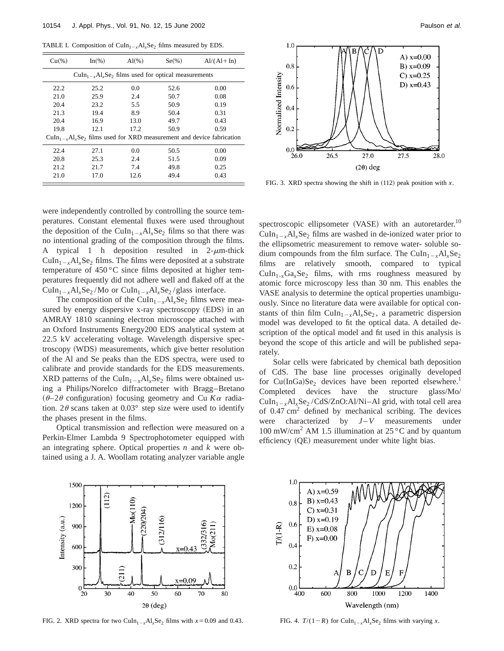TABLE I. Composition of CuIn<sub>1-x</sub>Al<sub>x</sub>Se<sub>2</sub> films measured by EDS.

| Cu(%                                                                         | $In(\%)$ | $Al(\%)$ | $Se(\%)$ | $Al/(Al+In)$ |  |  |  |  |  |
|------------------------------------------------------------------------------|----------|----------|----------|--------------|--|--|--|--|--|
| $CuIn_{1-x}Al_{x}Se_{2}$ films used for optical measurements                 |          |          |          |              |  |  |  |  |  |
| 22.2                                                                         | 25.2     | 0.0      | 52.6     | 0.00         |  |  |  |  |  |
| 21.0                                                                         | 25.9     | 2.4      | 50.7     | 0.08         |  |  |  |  |  |
| 20.4                                                                         | 23.2     | 5.5      | 50.9     | 0.19         |  |  |  |  |  |
| 21.3                                                                         | 19.4     | 8.9      | 50.4     | 0.31         |  |  |  |  |  |
| 20.4                                                                         | 16.9     | 13.0     | 49.7     | 0.43         |  |  |  |  |  |
| 19.8                                                                         | 12.1     | 17.2     | 50.9     | 0.59         |  |  |  |  |  |
| $CuIn_{1-x}Al_{x}Se_2$ films used for XRD measurement and device fabrication |          |          |          |              |  |  |  |  |  |
| 22.4                                                                         | 27.1     | 0.0      | 50.5     | 0.00         |  |  |  |  |  |
| 20.8                                                                         | 25.3     | 2.4      | 51.5     | 0.09         |  |  |  |  |  |
| 21.2                                                                         | 21.7     | 7.4      | 49.8     | 0.25         |  |  |  |  |  |
| 21.0                                                                         | 17.0     | 12.6     | 49.4     | 0.43         |  |  |  |  |  |

were independently controlled by controlling the source temperatures. Constant elemental fluxes were used throughout the deposition of the CuIn<sub>1-x</sub>Al<sub>x</sub>Se<sub>2</sub> films so that there was no intentional grading of the composition through the films. A typical 1 h deposition resulted in  $2-\mu m$ -thick  $CuIn<sub>1-x</sub>Al<sub>x</sub>Se<sub>2</sub> films. The films were deposited at a substrate$ temperature of 450 °C since films deposited at higher temperatures frequently did not adhere well and flaked off at the  $CuIn_{1-x}Al_{x}Se_{2} / Mo$  or  $CuIn_{1-x}Al_{x}Se_{2} / glass$  interface.

The composition of the CuIn<sub>1-x</sub>Al<sub>x</sub>Se<sub>2</sub> films were measured by energy dispersive x-ray spectroscopy (EDS) in an AMRAY 1810 scanning electron microscope attached with an Oxford Instruments Energy200 EDS analytical system at 22.5 kV accelerating voltage. Wavelength dispersive spectroscopy (WDS) measurements, which give better resolution of the Al and Se peaks than the EDS spectra, were used to calibrate and provide standards for the EDS measurements. XRD patterns of the CuIn<sub>1-*x*</sub>Al<sub>*x*</sub>Se<sub>2</sub> films were obtained using a Philips/Norelco diffractometer with Bragg–Bretano  $(\theta - 2\theta$  configuration) focusing geometry and Cu  $K\alpha$  radiation. 2 $\theta$  scans taken at 0.03° step size were used to identify the phases present in the films.

Optical transmission and reflection were measured on a Perkin-Elmer Lambda 9 Spectrophotometer equipped with an integrating sphere. Optical properties *n* and *k* were obtained using a J. A. Woollam rotating analyzer variable angle



FIG. 3. XRD spectra showing the shift in  $(112)$  peak position with *x*.

spectroscopic ellipsometer (VASE) with an autoretarder.<sup>10</sup>  $CuIn_{1-x}Al_{x}Se_{2}$  films are washed in de-ionized water prior to the ellipsometric measurement to remove water- soluble sodium compounds from the film surface. The CuIn<sub>1-*x*</sub>Al<sub>*x*</sub>Se<sub>2</sub> films are relatively smooth, compared to typical  $CuIn<sub>1-x</sub>Ga<sub>x</sub>Se<sub>2</sub>$  films, with rms roughness measured by atomic force microscopy less than 30 nm. This enables the VASE analysis to determine the optical properties unambiguously. Since no literature data were available for optical constants of thin film CuIn<sub>1-x</sub>Al<sub>x</sub>Se<sub>2</sub>, a parametric dispersion model was developed to fit the optical data. A detailed description of the optical model and fit used in this analysis is beyond the scope of this article and will be published separately.

Solar cells were fabricated by chemical bath deposition of CdS. The base line processes originally developed for  $Cu(InGa)Se<sub>2</sub>$  devices have been reported elsewhere.<sup>1</sup> Completed devices have the structure glass/Mo/  $CuIn_{1-x}Al_{x}Se_{2}/CdS/ZnO:Al/Ni–Al grid, with total cell area$ of  $0.47 \text{ cm}^2$  defined by mechanical scribing. The devices were characterized by  $J-V$  measurements under 100 mW/cm<sup>2</sup> AM 1.5 illumination at  $25^{\circ}$ C and by quantum efficiency (QE) measurement under white light bias.



FIG. 2. XRD spectra for two CuIn<sub>1-x</sub>Al<sub>x</sub>Se<sub>2</sub> films with  $x=0.09$  and 0.43.



FIG. 4.  $T/(1-R)$  for CuIn<sub>1-x</sub>Al<sub>x</sub>Se<sub>2</sub> films with varying *x*.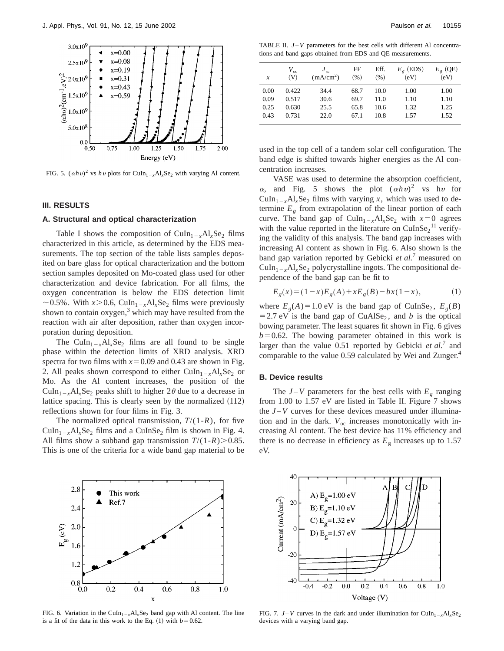

FIG. 5.  $(\alpha h v)^2$  vs  $h v$  plots for CuIn<sub>1-x</sub>Al<sub>x</sub>Se<sub>2</sub> with varying Al content.

#### **III. RESULTS**

### **A. Structural and optical characterization**

Table I shows the composition of  $CuIn_{1-x}Al_{x}Se_{2}$  films characterized in this article, as determined by the EDS measurements. The top section of the table lists samples deposited on bare glass for optical characterization and the bottom section samples deposited on Mo-coated glass used for other characterization and device fabrication. For all films, the oxygen concentration is below the EDS detection limit  $\sim$  0.5%. With *x*>0.6, CuIn<sub>1-*x*</sub>Al<sub>*x*</sub>Se<sub>2</sub> films were previously shown to contain  $oxygen<sub>3</sub><sup>3</sup>$  which may have resulted from the reaction with air after deposition, rather than oxygen incorporation during deposition.

The CuIn<sub>1-x</sub>Al<sub>x</sub>Se<sub>2</sub> films are all found to be single phase within the detection limits of XRD analysis. XRD spectra for two films with  $x=0.09$  and 0.43 are shown in Fig. 2. All peaks shown correspond to either  $CuIn_{1-x}Al_{x}Se_{2}$  or Mo. As the Al content increases, the position of the  $\text{CuIn}_{1-x}\text{Al}_x\text{Se}_2$  peaks shift to higher  $2\theta$  due to a decrease in lattice spacing. This is clearly seen by the normalized  $(112)$ reflections shown for four films in Fig. 3.

The normalized optical transmission,  $T/(1-R)$ , for five  $CuIn_{1-x}Al_{x}Se_{2}$  films and a CuInSe<sub>2</sub> film is shown in Fig. 4. All films show a subband gap transmission  $T/(1-R) > 0.85$ . This is one of the criteria for a wide band gap material to be



FIG. 6. Variation in the CuIn<sub>1-x</sub>Al<sub>x</sub>Se<sub>2</sub> band gap with Al content. The line is a fit of the data in this work to the Eq.  $(1)$  with  $b=0.62$ .

TABLE II.  $J-V$  parameters for the best cells with different Al concentrations and band gaps obtained from EDS and QE measurements.

| $\boldsymbol{x}$ | $V_{\rm oc}$<br>(V) | $J_{sc}$<br>(mA/cm <sup>2</sup> ) | FF<br>(% ) | Eff.<br>(96) | $E_{\rho}$ (EDS)<br>(eV) | $E_g$ (QE)<br>(eV) |
|------------------|---------------------|-----------------------------------|------------|--------------|--------------------------|--------------------|
| 0.00             | 0.422               | 34.4                              | 68.7       | 10.0         | 1.00                     | 1.00               |
| 0.09             | 0.517               | 30.6                              | 69.7       | 11.0         | 1.10                     | 1.10               |
| 0.25             | 0.630               | 25.5                              | 65.8       | 10.6         | 1.32                     | 1.25               |
| 0.43             | 0.731               | 22.0                              | 67.1       | 10.8         | 1.57                     | 1.52               |

used in the top cell of a tandem solar cell configuration. The band edge is shifted towards higher energies as the Al concentration increases.

VASE was used to determine the absorption coefficient,  $\alpha$ , and Fig. 5 shows the plot  $(\alpha h v)^2$  vs hv for  $Culn<sub>1-x</sub>Al<sub>x</sub>Se<sub>2</sub> films with varying *x*, which was used to de$ termine  $E<sub>g</sub>$  from extrapolation of the linear portion of each curve. The band gap of CuIn<sub>1-x</sub>Al<sub>x</sub>Se<sub>2</sub> with  $x=0$  agrees with the value reported in the literature on  $\text{CuInSe}_2$ <sup>11</sup> verifying the validity of this analysis. The band gap increases with increasing Al content as shown in Fig. 6. Also shown is the band gap variation reported by Gebicki *et al.*<sup>7</sup> measured on  $CuIn_{1-x}Al_{x}Se_{2}$  polycrystalline ingots. The compositional dependence of the band gap can be fit to

$$
E_g(x) = (1-x)E_g(A) + xE_g(B) - bx(1-x),
$$
 (1)

where  $E_g(A) = 1.0$  eV is the band gap of CuInSe<sub>2</sub>,  $E_g(B)$  $=$  2.7 eV is the band gap of CuAlSe<sub>2</sub>, and *b* is the optical bowing parameter. The least squares fit shown in Fig. 6 gives  $b=0.62$ . The bowing parameter obtained in this work is larger than the value 0.51 reported by Gebicki *et al.*<sup>7</sup> and comparable to the value 0.59 calculated by Wei and Zunger.<sup>4</sup>

#### **B. Device results**

The  $J-V$  parameters for the best cells with  $E_g$  ranging from 1.00 to 1.57 eV are listed in Table II. Figure 7 shows the  $J-V$  curves for these devices measured under illumination and in the dark.  $V_{\text{oc}}$  increases monotonically with increasing Al content. The best device has 11% efficiency and there is no decrease in efficiency as  $E<sub>g</sub>$  increases up to 1.57 eV.



FIG. 7. *J*-*V* curves in the dark and under illumination for CuIn<sub>1-x</sub>Al<sub>x</sub>Se<sub>2</sub> devices with a varying band gap.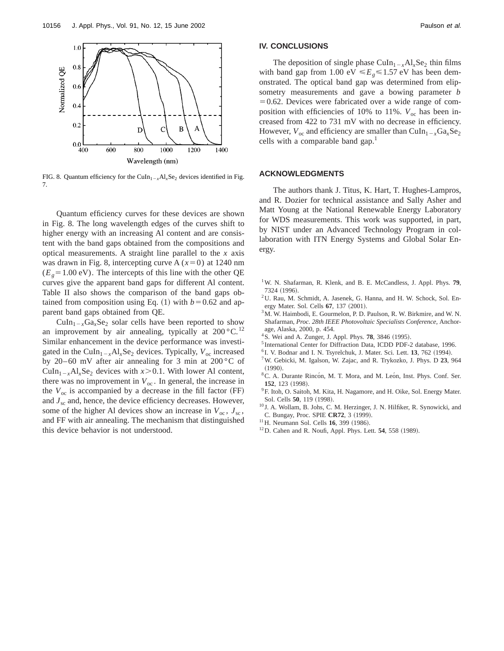

FIG. 8. Quantum efficiency for the CuIn<sub>1-x</sub>Al<sub>x</sub>Se<sub>2</sub> devices identified in Fig. 7.

Quantum efficiency curves for these devices are shown in Fig. 8. The long wavelength edges of the curves shift to higher energy with an increasing Al content and are consistent with the band gaps obtained from the compositions and optical measurements. A straight line parallel to the *x* axis was drawn in Fig. 8, intercepting curve A  $(x=0)$  at 1240 nm  $(E<sub>g</sub>=1.00$  eV). The intercepts of this line with the other QE curves give the apparent band gaps for different Al content. Table II also shows the comparison of the band gaps obtained from composition using Eq.  $(1)$  with  $b=0.62$  and apparent band gaps obtained from QE.

 $\text{CuIn}_{1-x}\text{Ga}_x\text{Se}_2$  solar cells have been reported to show an improvement by air annealing, typically at  $200^{\circ}$ C.<sup>12</sup> Similar enhancement in the device performance was investigated in the CuIn<sub>1-x</sub>Al<sub>x</sub>Se<sub>2</sub> devices. Typically,  $V_{oc}$  increased by 20–60 mV after air annealing for 3 min at  $200\,^{\circ}$ C of CuIn<sub>1-x</sub>Al<sub>x</sub>Se<sub>2</sub> devices with  $x > 0.1$ . With lower Al content, there was no improvement in  $V_{\text{oc}}$ . In general, the increase in the  $V_{\text{oc}}$  is accompanied by a decrease in the fill factor (FF) and *J*sc and, hence, the device efficiency decreases. However, some of the higher Al devices show an increase in  $V_{\text{oc}}$ ,  $J_{\text{sc}}$ , and FF with air annealing. The mechanism that distinguished this device behavior is not understood.

## **IV. CONCLUSIONS**

The deposition of single phase  $CuIn_{1-x}Al_{x}Se_{2}$  thin films with band gap from 1.00 eV  $\leq E_e \leq 1.57$  eV has been demonstrated. The optical band gap was determined from elipsometry measurements and gave a bowing parameter *b*  $=0.62$ . Devices were fabricated over a wide range of composition with efficiencies of 10% to 11%.  $V_{\text{oc}}$  has been increased from 422 to 731 mV with no decrease in efficiency. However,  $V_{\text{oc}}$  and efficiency are smaller than CuIn<sub>1-*x*</sub>Ga<sub>*x*</sub>Se<sub>2</sub> cells with a comparable band gap. $<sup>1</sup>$ </sup>

#### **ACKNOWLEDGMENTS**

The authors thank J. Titus, K. Hart, T. Hughes-Lampros, and R. Dozier for technical assistance and Sally Asher and Matt Young at the National Renewable Energy Laboratory for WDS measurements. This work was supported, in part, by NIST under an Advanced Technology Program in collaboration with ITN Energy Systems and Global Solar Energy.

- 1W. N. Shafarman, R. Klenk, and B. E. McCandless, J. Appl. Phys. **79**, 7324 (1996)
- 2U. Rau, M. Schmidt, A. Jasenek, G. Hanna, and H. W. Schock, Sol. Energy Mater. Sol. Cells 67, 137 (2001).
- $3<sup>3</sup>M$ . W. Haimbodi, E. Gourmelon, P. D. Paulson, R. W. Birkmire, and W. N. Shafarman, *Proc. 28th IEEE Photovoltaic Specialists Conference*, Anchorage, Alaska, 2000, p. 454.
- $4$ S. Wei and A. Zunger, J. Appl. Phys. **78**, 3846  $(1995)$ .
- <sup>5</sup> International Center for Diffraction Data, ICDD PDF-2 database, 1996.
- <sup>6</sup> I. V. Bodnar and I. N. Tsyrelchuk, J. Mater. Sci. Lett. **13**, 762 (1994).
- 7W. Gebicki, M. Igalson, W. Zajac, and R. Trykozko, J. Phys. D **23**, 964
- $(1990).$ <sup>8</sup>C. A. Durante Rincón, M. T. Mora, and M. León, Inst. Phys. Conf. Ser. 152, 123 (1998).
- <sup>9</sup>F. Itoh, O. Saitoh, M. Kita, H. Nagamore, and H. Oike, Sol. Energy Mater. Sol. Cells 50, 119 (1998).
- <sup>10</sup> J. A. Wollam, B. Johs, C. M. Herzinger, J. N. Hilfiker, R. Synowicki, and C. Bungay, Proc. SPIE CR72, 3 (1999).
- <sup>11</sup>H. Neumann Sol. Cells **16**, 399 (1986).
- <sup>12</sup>D. Cahen and R. Noufi, Appl. Phys. Lett. **54**, 558 (1989).